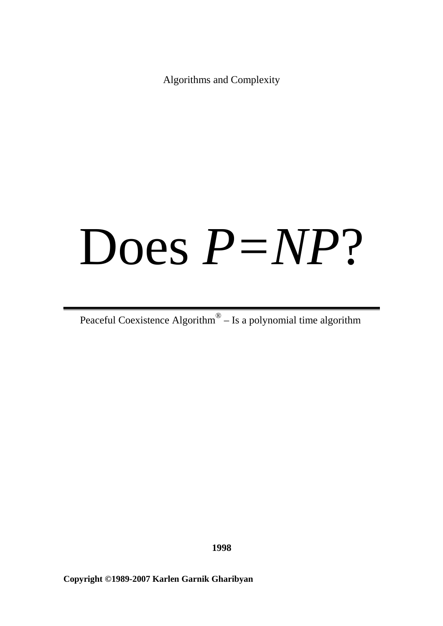Algorithms and Complexity

# Does *P=NP*?

Peaceful Coexistence Algorithm $^{\circledR}$  – Is a polynomial time algorithm

**1998**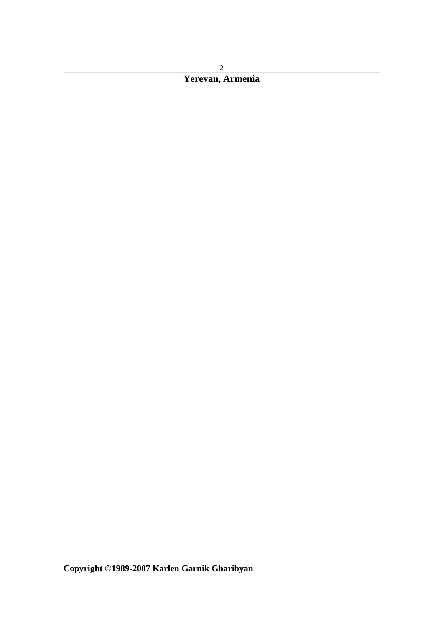### **Yerevan, Armenia**

# **Copyright ©1989-2007 Karlen Garnik Gharibyan**

2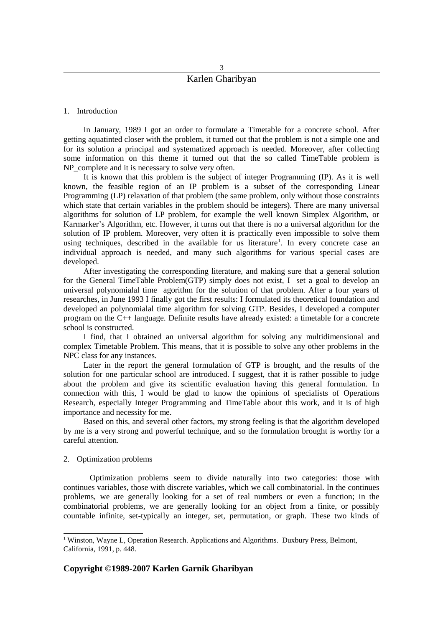#### 3 Karlen Gharibyan

#### 1. Introduction

In January, 1989 I got an order to formulate a Timetable for a concrete school. After getting aquatinted closer with the problem, it turned out that the problem is not a simple one and for its solution a principal and systematized approach is needed. Moreover, after collecting some information on this theme it turned out that the so called TimeTable problem is NP complete and it is necessary to solve very often.

It is known that this problem is the subject of integer Programming (IP). As it is well known, the feasible region of an IP problem is a subset of the corresponding Linear Programming (LP) relaxation of that problem (the same problem, only without those constraints which state that certain variables in the problem should be integers). There are many universal algorithms for solution of LP problem, for example the well known Simplex Algorithm, or Karmarker's Algorithm, etc. However, it turns out that there is no a universal algorithm for the solution of IP problem. Moreover, very often it is practically even impossible to solve them using techniques, described in the available for us literature<sup>[1](#page-2-0)</sup>. In every concrete case an individual approach is needed, and many such algorithms for various special cases are developed.

After investigating the corresponding literature, and making sure that a general solution for the General TimeTable Problem(GTP) simply does not exist, I set a goal to develop an universal polynomialal time agorithm for the solution of that problem. After a four years of researches, in June 1993 I finally got the first results: I formulated its theoretical foundation and developed an polynomialal time algorithm for solving GTP. Besides, I developed a computer program on the C++ language. Definite results have already existed: a timetable for a concrete school is constructed.

I find, that I obtained an universal algorithm for solving any multidimensional and complex Timetable Problem. This means, that it is possible to solve any other problems in the NPC class for any instances.

Later in the report the general formulation of GTP is brought, and the results of the solution for one particular school are introduced. I suggest, that it is rather possible to judge about the problem and give its scientific evaluation having this general formulation. In connection with this, I would be glad to know the opinions of specialists of Operations Research, especially Integer Programming and TimeTable about this work, and it is of high importance and necessity for me.

Based on this, and several other factors, my strong feeling is that the algorithm developed by me is a very strong and powerful technique, and so the formulation brought is worthy for a careful attention.

#### 2. Optimization problems

Optimization problems seem to divide naturally into two categories: those with continues variables, those with discrete variables, which we call combinatorial. In the continues problems, we are generally looking for a set of real numbers or even a function; in the combinatorial problems, we are generally looking for an object from a finite, or possibly countable infinite, set-typically an integer, set, permutation, or graph. These two kinds of

<span id="page-2-0"></span><sup>&</sup>lt;sup>1</sup> Winston, Wayne L, Operation Research. Applications and Algorithms. Duxbury Press, Belmont, California, 1991, p. 448.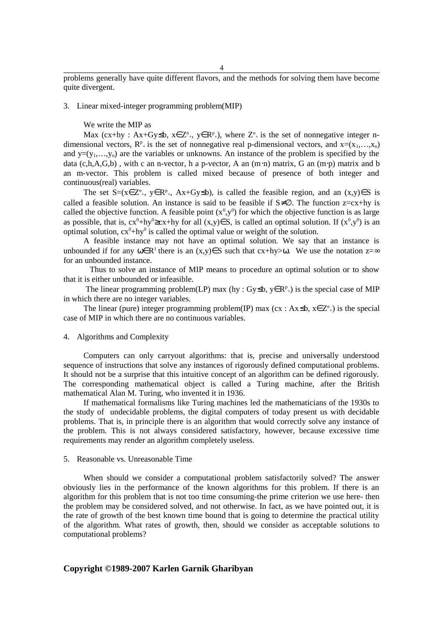problems generally have quite different flavors, and the methods for solving them have become quite divergent.

#### 3. Linear mixed-integer programming problem(MIP)

We write the MIP as

Max (cx+hy : Ax+Gy 
\ldots b,  $x \in Z^n$ ,  $y \in R^p$ , where  $Z^n$  is the set of nonnegative integer ndimensional vectors,  $R^{p}$  is the set of nonnegative real p-dimensional vectors, and  $x=(x_1,...,x_n)$ and  $y=(y_1,...,y_n)$  are the variables or unknowns. An instance of the problem is specified by the data (c,h,A,G,b), with c an n-vector, h a p-vector, A an  $(m \cdot n)$  matrix, G an  $(m \cdot p)$  matrix and b an m-vector. This problem is called mixed because of presence of both integer and continuous(real) variables.

The set S=( $x \in Z^{n}$ ,  $y \in R^{p}$ ,  $Ax+Gy \leq b$ ), is called the feasible region, and an  $(x,y) \in S$  is called a feasible solution. An instance is said to be feasible if  $S \neq \emptyset$ . The function  $z = c \cdot x + h \cdot y$  is called the objective function. A feasible point  $(x^0, y^0)$  for which the objective function is as large as possible, that is, cx<sup>0</sup>+hy<sup>0</sup>≥cx+hy for all (x,y)∈ S, is called an optimal solution. If (x<sup>0</sup>,y<sup>0</sup>) is an optimal solution,  $cx^0 + hy^0$  is called the optimal value or weight of the solution.

A feasible instance may not have an optimal solution. We say that an instance is unbounded if for any  $\omega \in \mathbb{R}^1$  there is an  $(x,y) \in S$  such that  $cx+hy> \omega$ . We use the notation  $z= \infty$ for an unbounded instance.

Thus to solve an instance of MIP means to procedure an optimal solution or to show that it is either unbounded or infeasible.

The linear programming problem(LP) max (hy : Gy 
subseteq  $R^p$ +) is the special case of MIP in which there are no integer variables.

The linear (pure) integer programming problem(IP) max (cx : Ax≤b, x∈ Z<sup>n</sup>+) is the special case of MIP in which there are no continuous variables.

#### 4. Algorithms and Complexity

Computers can only carryout algorithms: that is, precise and universally understood sequence of instructions that solve any instances of rigorously defined computational problems. It should not be a surprise that this intuitive concept of an algorithm can be defined rigorously. The corresponding mathematical object is called a Turing machine, after the British mathematical Alan M. Turing, who invented it in 1936.

If mathematical formalisms like Turing machines led the mathematicians of the 1930s to the study of undecidable problems, the digital computers of today present us with decidable problems. That is, in principle there is an algorithm that would correctly solve any instance of the problem. This is not always considered satisfactory, however, because excessive time requirements may render an algorithm completely useless.

#### 5. Reasonable vs. Unreasonable Time

When should we consider a computational problem satisfactorily solved? The answer obviously lies in the performance of the known algorithms for this problem. If there is an algorithm for this problem that is not too time consuming-the prime criterion we use here- then the problem may be considered solved, and not otherwise. In fact, as we have pointed out, it is the rate of growth of the best known time bound that is going to determine the practical utility of the algorithm. What rates of growth, then, should we consider as acceptable solutions to computational problems?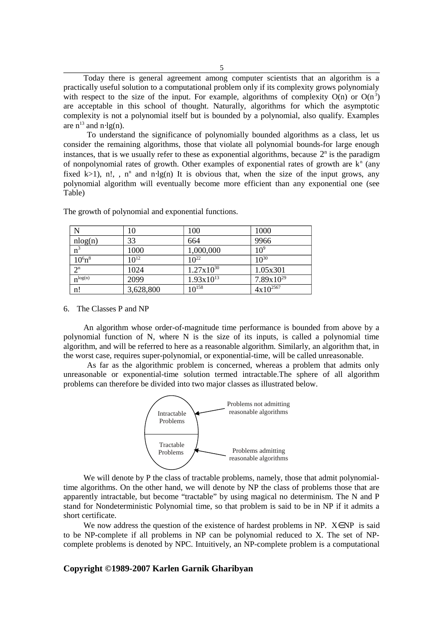| Today there is general agreement among computer scientists that an algorithm is a               |
|-------------------------------------------------------------------------------------------------|
| practically useful solution to a computational problem only if its complexity grows polynomialy |
| with respect to the size of the input. For example, algorithms of complexity $O(n)$ or $O(n^3)$ |
| are acceptable in this school of thought. Naturally, algorithms for which the asymptotic        |
| complexity is not a polynomial itself but is bounded by a polynomial, also qualify. Examples    |
| are $n^{13}$ and $n \cdot lg(n)$ .                                                              |

 To understand the significance of polynomially bounded algorithms as a class, let us consider the remaining algorithms, those that violate all polynomial bounds-for large enough instances, that is we usually refer to these as exponential algorithms, because  $2<sup>n</sup>$  is the paradigm of nonpolynomial rates of growth. Other examples of exponential rates of growth are  $k<sup>n</sup>$  (any fixed k>1), n!, , n<sup>n</sup> and n⋅lg(n) It is obvious that, when the size of the input grows, any polynomial algorithm will eventually become more efficient than any exponential one (see Table)

| N                       | 10        | 100            | 1000            |
|-------------------------|-----------|----------------|-----------------|
| nlog(n)                 | 33        | 664            | 9966            |
| $n^3$                   | 1000      | 1,000,000      | 10 <sup>9</sup> |
| $10^{6}$ n <sup>8</sup> | $10^{12}$ | $10^{22}$      | $10^{30}$       |
| $2^n$                   | 1024      | $1.27x10^{30}$ | 1.05x301        |
| $n^{\log(n)}$           | 2099      | $1.93x10^{13}$ | $7.89x10^{29}$  |
| n!                      | 3,628,800 | $10^{158}$     | $4x10^{2567}$   |

The growth of polynomial and exponential functions.

#### 6. The Classes P and NP

An algorithm whose order-of-magnitude time performance is bounded from above by a polynomial function of N, where N is the size of its inputs, is called a polynomial time algorithm, and will be referred to here as a reasonable algorithm. Similarly, an algorithm that, in the worst case, requires super-polynomial, or exponential-time, will be called unreasonable.

 As far as the algorithmic problem is concerned, whereas a problem that admits only unreasonable or exponential-time solution termed intractable.The sphere of all algorithm problems can therefore be divided into two major classes as illustrated below.



We will denote by P the class of tractable problems, namely, those that admit polynomialtime algorithms. On the other hand, we will denote by NP the class of problems those that are apparently intractable, but become "tractable" by using magical no determinism. The N and P stand for Nondeterministic Polynomial time, so that problem is said to be in NP if it admits a short certificate.

We now address the question of the existence of hardest problems in NP.  $X \in NP$  is said to be NP-complete if all problems in NP can be polynomial reduced to X. The set of NPcomplete problems is denoted by NPC. Intuitively, an NP-complete problem is a computational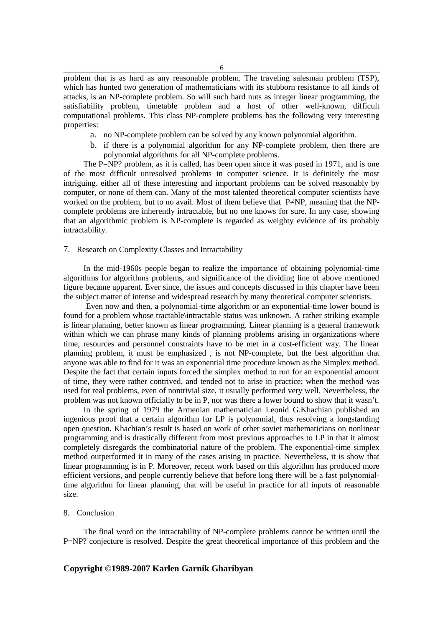problem that is as hard as any reasonable problem. The traveling salesman problem (TSP), which has hunted two generation of mathematicians with its stubborn resistance to all kinds of attacks, is an NP-complete problem. So will such hard nuts as integer linear programming, the satisfiability problem, timetable problem and a host of other well-known, difficult computational problems. This class NP-complete problems has the following very interesting properties:

- a. no NP-complete problem can be solved by any known polynomial algorithm.
- b. if there is a polynomial algorithm for any NP-complete problem, then there are polynomial algorithms for all NP-complete problems.

The P=NP? problem, as it is called, has been open since it was posed in 1971, and is one of the most difficult unresolved problems in computer science. It is definitely the most intriguing. either all of these interesting and important problems can be solved reasonably by computer, or none of them can. Many of the most talented theoretical computer scientists have worked on the problem, but to no avail. Most of them believe that P≠NP, meaning that the NPcomplete problems are inherently intractable, but no one knows for sure. In any case, showing that an algorithmic problem is NP-complete is regarded as weighty evidence of its probably intractability.

#### 7. Research on Complexity Classes and Intractability

In the mid-1960s people began to realize the importance of obtaining polynomial-time algorithms for algorithms problems, and significance of the dividing line of above mentioned figure became apparent. Ever since, the issues and concepts discussed in this chapter have been the subject matter of intense and widespread research by many theoretical computer scientists.

 Even now and then, a polynomial-time algorithm or an exponential-time lower bound is found for a problem whose tractable\intractable status was unknown. A rather striking example is linear planning, better known as linear programming. Linear planning is a general framework within which we can phrase many kinds of planning problems arising in organizations where time, resources and personnel constraints have to be met in a cost-efficient way. The linear planning problem, it must be emphasized , is not NP-complete, but the best algorithm that anyone was able to find for it was an exponential time procedure known as the Simplex method. Despite the fact that certain inputs forced the simplex method to run for an exponential amount of time, they were rather contrived, and tended not to arise in practice; when the method was used for real problems, even of nontrivial size, it usually performed very well. Nevertheless, the problem was not known officially to be in P, nor was there a lower bound to show that it wasn't.

In the spring of 1979 the Armenian mathematician Leonid G.Khachian published an ingenious proof that a certain algorithm for LP is polynomial, thus resolving a longstanding open question. Khachian's result is based on work of other soviet mathematicians on nonlinear programming and is drastically different from most previous approaches to LP in that it almost completely disregards the combinatorial nature of the problem. The exponential-time simplex method outperformed it in many of the cases arising in practice. Nevertheless, it is show that linear programming is in P. Moreover, recent work based on this algorithm has produced more efficient versions, and people currently believe that before long there will be a fast polynomialtime algorithm for linear planning, that will be useful in practice for all inputs of reasonable size.

#### 8. Conclusion

The final word on the intractability of NP-complete problems cannot be written until the P=NP? conjecture is resolved. Despite the great theoretical importance of this problem and the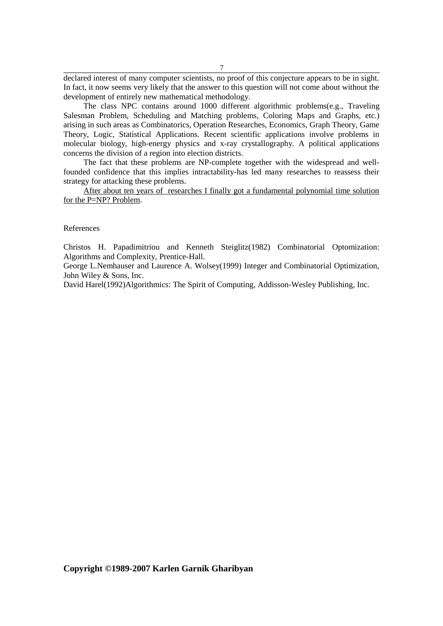declared interest of many computer scientists, no proof of this conjecture appears to be in sight. In fact, it now seems very likely that the answer to this question will not come about without the development of entirely new mathematical methodology.

The class NPC contains around 1000 different algorithmic problems(e.g., Traveling Salesman Problem, Scheduling and Matching problems, Coloring Maps and Graphs, etc.) arising in such areas as Combinatorics, Operation Researches, Economics, Graph Theory, Game Theory, Logic, Statistical Applications. Recent scientific applications involve problems in molecular biology, high-energy physics and x-ray crystallography. A political applications concerns the division of a region into election districts.

The fact that these problems are NP-complete together with the widespread and wellfounded confidence that this implies intractability-has led many researches to reassess their strategy for attacking these problems.

After about ten years of researches I finally got a fundamental polynomial time solution for the P=NP? Problem.

#### References

Christos H. Papadimitriou and Kenneth Steiglitz(1982) Combinatorial Optomization: Algorithms and Complexity, Prentice-Hall.

George L.Nemhauser and Laurence A. Wolsey(1999) Integer and Combinatorial Optimization, John Wiley & Sons, Inc.

David Harel(1992)Algorithmics: The Spirit of Computing, Addisson-Wesley Publishing, Inc.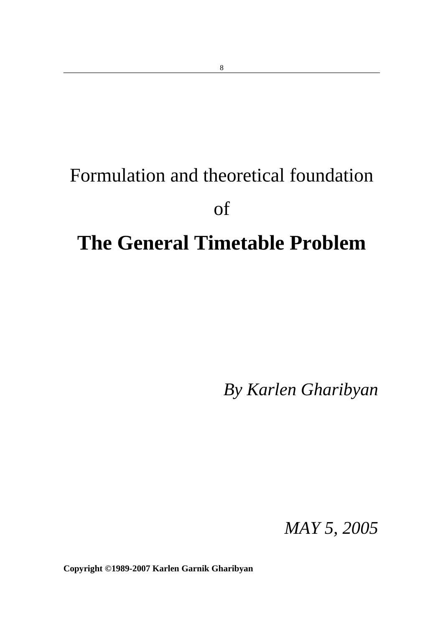# Formulation and theoretical foundation of **The General Timetable Problem**

*By Karlen Gharibyan*

*MAY 5, 2005*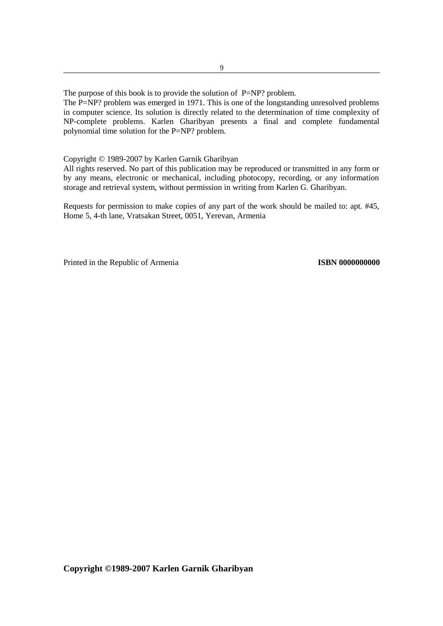The purpose of this book is to provide the solution of P=NP? problem.

The P=NP? problem was emerged in 1971. This is one of the longstanding unresolved problems in computer science. Its solution is directly related to the determination of time complexity of NP-complete problems. Karlen Gharibyan presents a final and complete fundamental polynomial time solution for the P=NP? problem.

Copyright © 1989-2007 by Karlen Garnik Gharibyan

All rights reserved. No part of this publication may be reproduced or transmitted in any form or by any means, electronic or mechanical, including photocopy, recording, or any information storage and retrieval system, without permission in writing from Karlen G. Gharibyan.

Requests for permission to make copies of any part of the work should be mailed to: apt. #45, Home 5, 4-th lane, Vratsakan Street, 0051, Yerevan, Armenia

Printed in the Republic of Armenia **ISBN 0000000000**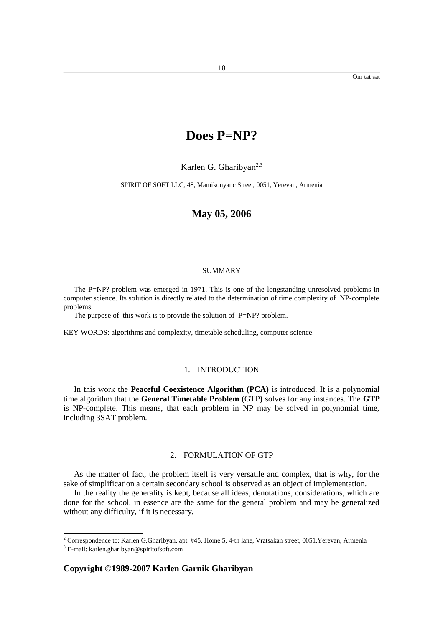Om tat sat

## **Does P=NP?**

Karlen G. Gharibyan $2,3$  $2,3$ 

SPIRIT OF SOFT LLC, 48, Mamikonyanc Street, 0051, Yerevan, Armenia

#### **May 05, 2006**

#### SUMMARY

The P=NP? problem was emerged in 1971. This is one of the longstanding unresolved problems in computer science. Its solution is directly related to the determination of time complexity of NP-complete problems.

The purpose of this work is to provide the solution of P=NP? problem.

KEY WORDS: algorithms and complexity, timetable scheduling, computer science.

#### 1. INTRODUCTION

In this work the **Peaceful Coexistence Algorithm (PCA)** is introduced. It is a polynomial time algorithm that the **General Timetable Problem** (GTP**)** solves for any instances. The **GTP** is NP-complete. This means, that each problem in NP may be solved in polynomial time, including 3SAT problem.

#### 2. FORMULATION OF GTP

As the matter of fact, the problem itself is very versatile and complex, that is why, for the sake of simplification a certain secondary school is observed as an object of implementation.

In the reality the generality is kept, because all ideas, denotations, considerations, which are done for the school, in essence are the same for the general problem and may be generalized without any difficulty, if it is necessary.

<span id="page-9-0"></span> $^2$  Correspondence to: Karlen G.Gharibyan, apt. #45, Home 5, 4-th lane, Vratsakan street, 0051,Yerevan, Armenia

<span id="page-9-1"></span> $3$  E-mail: karlen.gharibyan@spiritofsoft.com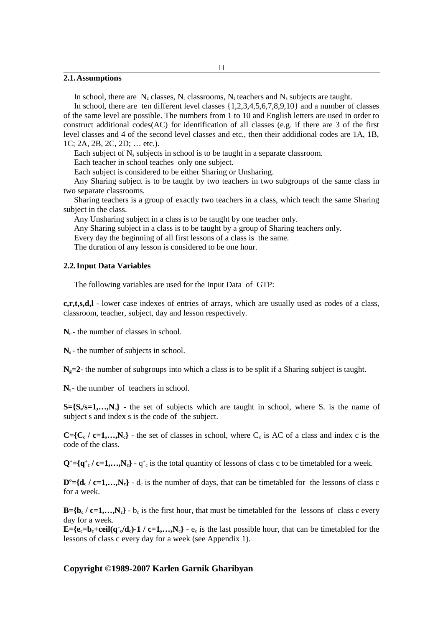#### **2.1.Assumptions**

In school, there are  $N_c$  classes,  $N_r$  classrooms,  $N_t$  teachers and  $N_s$  subjects are taught.

In school, there are ten different level classes {1,2,3,4,5,6,7,8,9,10} and a number of classes of the same level are possible. The numbers from 1 to 10 and English letters are used in order to construct additional codes(AC) for identification of all classes (e.g. if there are 3 of the first level classes and 4 of the second level classes and etc., then their addidional codes are 1A, 1B, 1C; 2A, 2B, 2C, 2D; … etc.).

Each subject of  $N_s$  subjects in school is to be taught in a separate classroom.

Each teacher in school teaches only one subject.

Each subject is considered to be either Sharing or Unsharing.

Any Sharing subject is to be taught by two teachers in two subgroups of the same class in two separate classrooms.

Sharing teachers is a group of exactly two teachers in a class, which teach the same Sharing subject in the class.

Any Unsharing subject in a class is to be taught by one teacher only.

Any Sharing subject in a class is to be taught by a group of Sharing teachers only.

Every day the beginning of all first lessons of a class is the same.

The duration of any lesson is considered to be one hour.

#### **2.2.Input Data Variables**

The following variables are used for the Input Data of GTP:

**c,r,t,s,d,l** - lower case indexes of entries of arrays, which are usually used as codes of a class, classroom, teacher, subject, day and lesson respectively.

**Nc** - the number of classes in school.

**Ns** - the number of subjects in school.

**Ng=2**- the number of subgroups into which a class is to be split if a Sharing subject is taught.

 $N_t$  - the number of teachers in school.

 $S = \{S_s / s = 1, \ldots, N_s\}$  - the set of subjects which are taught in school, where  $S_s$  is the name of subject s and index s is the code of the subject.

 $C=\{C_c$  /  $c=1,...,N_c\}$  - the set of classes in school, where  $C_c$  is AC of a class and index c is the code of the class.

 $Q^+=\{q^+_{c}, q^+_{c}, \ldots, N_{c}\}$  -  $q^+_{c}$  is the total quantity of lessons of class c to be timetabled for a week.

 $D^{\circ} = \{d_c \mid c=1,...,N_c\}$  -  $d_c$  is the number of days, that can be timetabled for the lessons of class c for a week.

 $B=\{b_c / c=1,...,N_c\}$  -  $b_c$  is the first hour, that must be timetabled for the lessons of class c every day for a week.

**E={e<sub>c</sub>**=**b**<sub>c</sub>+ceil( $q^+$ <sub>c</sub> $/d$ <sub>c</sub>)-1 / c=1,..., $N_c$ } - e<sub>c</sub> is the last possible hour, that can be timetabled for the lessons of class c every day for a week (see Appendix 1).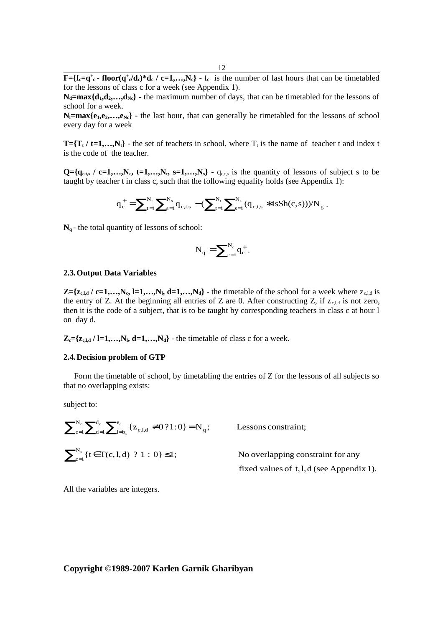**F={f<sub>c</sub>=q<sup>+</sup><sub>c</sub>** - **floor(q<sup>+</sup><sub>c</sub>/d<sub>c</sub>)\*d<sub>c</sub>** / **c=1,...,N**<sub>c</sub>**}** - f<sub>c</sub> is the number of last hours that can be timetabled for the lessons of class c for a week (see Appendix 1).

 $N_d$ **=max{d**<sub>1</sub>,d<sub>2</sub>,...,d<sub>Nc</sub>} - the maximum number of days, that can be timetabled for the lessons of school for a week.

 $N_l$ **=max{e<sub>1</sub>**,e<sub>2</sub>,...,e<sub>Nc</sub>} - the last hour, that can generally be timetabled for the lessons of school every day for a week

**T={T<sub>t</sub>** / **t**=1,...,N<sub>t</sub>} - the set of teachers in school, where T<sub>t</sub> is the name of teacher t and index t is the code of the teacher.

 $Q = \{q_{c,t,s} \mid c=1,...,N_c, t=1,...,N_t, s=1,...,N_s\}$  -  $q_{c,t,s}$  is the quantity of lessons of subject s to be taught by teacher t in class c, such that the following equality holds (see Appendix 1):

$$
q_c^+ = \sum\nolimits_{t = 1}^{{N_t}} {\sum\nolimits_{s = 1}^{{N_s}} {{q_{c,t,s}}}} - (\sum\nolimits_{t = 1}^{{N_t}} {\sum\nolimits_{s = 1}^{{N_s}} {{{({q_{c,t,s}}*IsSh(c,s))}})/{N_g}}\;}.
$$

**Nq** - the total quantity of lessons of school:

$$
N_q=\sum\nolimits_{c=1}^{N_c}q_c^+\,.
$$

#### **2.3.Output Data Variables**

 $\mathbb{Z}=\{z_{c,l,d} \mid c=1,\ldots,N_c\}$ ,  $l=1,\ldots,N_b$ ,  $d=1,\ldots,N_d\}$  - the timetable of the school for a week where  $z_{c,l,d}$  is the entry of Z. At the beginning all entries of Z are 0. After constructing Z, if  $z_{c,l,d}$  is not zero, then it is the code of a subject, that is to be taught by corresponding teachers in class c at hour l on day d.

 $\mathbf{Z}_{c}$ ={ $\mathbf{z}_{c,l,d}$  **/ l**=1,...,N<sub>**l**</sub>, d=1,...,N<sub>d</sub>} - the timetable of class c for a week.

#### **2.4.Decision problem of GTP**

Form the timetable of school, by timetabling the entries of Z for the lessons of all subjects so that no overlapping exists:

subject to:

$$
\sum_{c=1}^{N_c} \sum_{d=1}^{d_c} \sum_{e}^{e_c} \{z_{c,l,d} \neq 0\ ? 1: 0\} = N_q;
$$
   
Lessons constraint;  

$$
\sum_{c=1}^{N_c} \{t \in T(c,l,d) \ ? \ 1: 0\} \le 1;
$$
 No overlapping constraint for any fixed values of t, l, d (see Appendix 1).

All the variables are integers.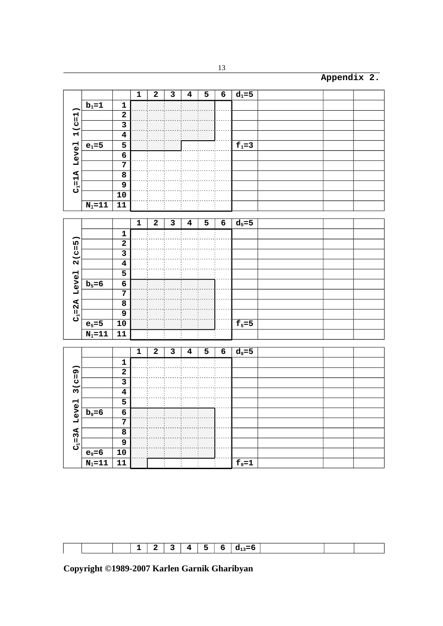**Appendix 2.**

|  |  |  |  |  |  | л | - | $\sim$<br>. .<br>О | -<br>--<br>.n<br>---<br>- 19 |  |  |  |
|--|--|--|--|--|--|---|---|--------------------|------------------------------|--|--|--|
|--|--|--|--|--|--|---|---|--------------------|------------------------------|--|--|--|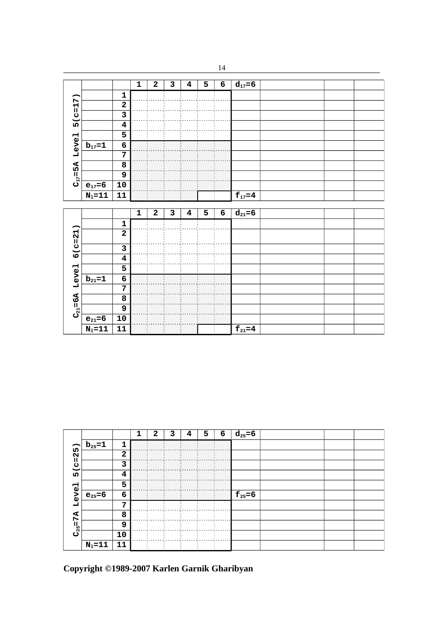| ٧ |  |
|---|--|
|   |  |

|                   |                            |                                    | $\overline{\mathbf{1}}$ | $\overline{2}$ | $\overline{\mathbf{3}}$ | 4                       | $\overline{5}$          | $\overline{6}$  | $\overline{d_{17}}$ =6 |  |  |
|-------------------|----------------------------|------------------------------------|-------------------------|----------------|-------------------------|-------------------------|-------------------------|-----------------|------------------------|--|--|
|                   |                            | 1                                  |                         |                |                         |                         |                         |                 |                        |  |  |
|                   |                            | $\overline{\mathbf{2}}$            |                         |                |                         |                         |                         |                 |                        |  |  |
| $5(c=17)$         |                            | $\overline{\mathbf{3}}$            |                         |                |                         |                         |                         |                 |                        |  |  |
|                   |                            | $\overline{\mathbf{4}}$            |                         |                |                         |                         |                         |                 |                        |  |  |
|                   |                            | $\overline{\bf{5}}$                |                         |                |                         |                         |                         |                 |                        |  |  |
| Leve <sub>1</sub> | $b_{17}=1$                 | $\overline{6}$                     |                         |                |                         |                         |                         |                 |                        |  |  |
|                   |                            |                                    |                         |                |                         |                         |                         |                 |                        |  |  |
|                   |                            | $\overline{\mathbf{8}}$            |                         |                |                         |                         |                         |                 |                        |  |  |
| $C_{17} = 5A$     |                            | $\overline{9}$                     |                         |                |                         |                         |                         |                 |                        |  |  |
|                   | $e_{17}=6$                 | 10                                 |                         |                |                         |                         |                         |                 |                        |  |  |
|                   | $N_1 = 11$                 | $\overline{11}$                    |                         |                |                         |                         |                         |                 | $f_{17}=4$             |  |  |
|                   |                            |                                    |                         |                |                         |                         |                         |                 |                        |  |  |
|                   |                            |                                    |                         |                |                         |                         |                         |                 |                        |  |  |
|                   |                            |                                    | $\overline{\mathbf{1}}$ | $\overline{2}$ | $\overline{\mathbf{3}}$ | $\overline{\mathbf{4}}$ | $\overline{\mathbf{5}}$ | $6\overline{6}$ | $d_{21} = 6$           |  |  |
|                   |                            |                                    |                         |                |                         |                         |                         |                 |                        |  |  |
|                   |                            | 1<br>$\overline{2}$                |                         |                |                         |                         |                         |                 |                        |  |  |
|                   |                            |                                    |                         |                |                         |                         |                         |                 |                        |  |  |
|                   |                            | $\overline{\mathbf{3}}$            |                         |                |                         |                         |                         |                 |                        |  |  |
| $6(c=21)$         |                            | $\overline{4}$                     |                         |                |                         |                         |                         |                 |                        |  |  |
|                   |                            | $\overline{\mathbf{5}}$            |                         |                |                         |                         |                         |                 |                        |  |  |
|                   | $\overline{b_{21}}$ =1     | $\overline{6}$                     |                         |                |                         |                         |                         |                 |                        |  |  |
| Leve1             |                            |                                    |                         |                |                         |                         |                         |                 |                        |  |  |
|                   |                            | $\overline{\mathbf{8}}$            |                         |                |                         |                         |                         |                 |                        |  |  |
|                   |                            | $\overline{9}$                     |                         |                |                         |                         |                         |                 |                        |  |  |
| $C_{21} = 6A$     | $e_{21} = 6$<br>$N_1 = 11$ | $\overline{10}$<br>$\overline{11}$ |                         |                |                         |                         |                         |                 | $f_{21} = 4$           |  |  |

|               |            |                         | 1 | 2 | 3 | 4 | 5 | 6 | $d_{25} = 6$ |  |  |
|---------------|------------|-------------------------|---|---|---|---|---|---|--------------|--|--|
|               | $b_{25}=1$ | 1                       |   |   |   |   |   |   |              |  |  |
| $5(c=25)$     |            | $\overline{2}$          |   |   |   |   |   |   |              |  |  |
|               |            | $\overline{\mathbf{3}}$ |   |   |   |   |   |   |              |  |  |
|               |            | 4                       |   |   |   |   |   |   |              |  |  |
|               |            | 5                       |   |   |   |   |   |   |              |  |  |
| Level         | $e_{25}=6$ | $6\phantom{1}6$         |   |   |   |   |   |   | $f_{25}=6$   |  |  |
|               |            | 7                       |   |   |   |   |   |   |              |  |  |
| $C_{25} = 7A$ |            | 8                       |   |   |   |   |   |   |              |  |  |
|               |            | 9                       |   |   |   |   |   |   |              |  |  |
|               |            | 10                      |   |   |   |   |   |   |              |  |  |
|               | $N_1 = 11$ | 11                      |   |   |   |   |   |   |              |  |  |